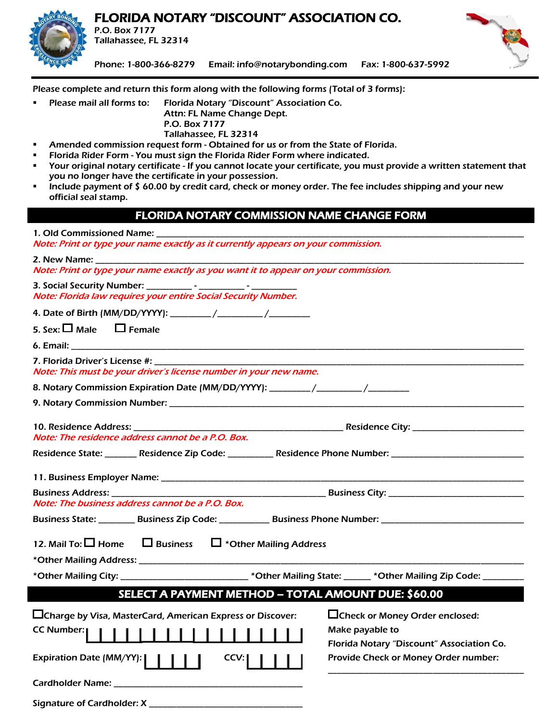### FLORIDA NOTARY "DISCOUNT" ASSOCIATION CO.



P.O. Box 7177 Tallahassee, FL 32314



Phone: 1-800-366-8279 Email: [info@notarybonding.com](mailto:info@notarybonding.com) Fax: 1-800-637-5992

Please complete and return this form along with the following forms (Total of 3 forms):

 Please mail all forms to: Florida Notary "Discount" Association Co. Attn: FL Name Change Dept. P.O. Box 7177 Tallahassee, FL 32314

- Amended commission request form Obtained for us or from the State of Florida.
- Florida Rider Form You must sign the Florida Rider Form where indicated.
- Your original notary certificate If you cannot locate your certificate, you must provide a written statement that you no longer have the certificate in your possession.
- Include payment of \$ 60.00 by credit card, check or money order. The fee includes shipping and your new official seal stamp.

#### FLORIDA NOTARY COMMISSION NAME CHANGE FORM

1. Old Commissioned Name: Note: Print or type your name exactly as it currently appears on your commission.

| Note: Print or type your name exactly as you want it to appear on your commission.                             |
|----------------------------------------------------------------------------------------------------------------|
| Note: Florida law requires your entire Social Security Number.                                                 |
|                                                                                                                |
| 5. Sex: $\square$ Male $\square$ Female                                                                        |
|                                                                                                                |
| Note: This must be your driver's license number in your new name.                                              |
| 8. Notary Commission Expiration Date (MM/DD/YYYY): ________/________/____________                              |
|                                                                                                                |
| Note: The residence address cannot be a P.O. Box.                                                              |
| Residence State: _________ Residence Zip Code: ___________ Residence Phone Number: ___________________________ |
|                                                                                                                |

Business Address: \_\_\_\_\_\_\_\_\_\_\_\_\_\_\_\_\_\_\_\_\_\_\_\_\_\_\_\_\_\_\_\_\_\_\_\_\_\_\_\_\_\_\_\_\_\_\_ Business City: \_\_\_\_\_\_\_\_\_\_\_\_\_\_\_\_\_\_\_\_\_\_\_\_\_\_\_\_\_\_ Note: The business address cannot be a P.O. Box. Business State: \_\_\_\_\_\_\_\_\_ Business Zip Code: \_\_\_\_\_\_\_\_\_\_\_ Business Phone Number: \_\_\_\_\_\_\_\_\_\_\_\_\_\_\_\_\_\_\_\_\_\_\_\_\_\_\_\_\_\_

12. Mail To:  $\square$  Home  $\square$  Business  $\square$  \*Other Mailing Address

\*Other Mailing Address: \_\_\_\_\_\_\_\_\_\_\_\_\_\_\_\_\_\_\_\_\_\_\_\_\_\_\_\_\_\_\_\_\_\_\_\_\_\_\_\_\_\_\_\_\_\_\_\_\_\_\_\_\_\_\_\_\_\_\_\_\_\_\_\_\_\_\_\_\_\_\_\_\_\_\_\_\_\_\_\_\_\_\_\_\_

\*Other Mailing City: \_\_\_\_\_\_\_\_\_\_\_\_\_\_\_\_\_\_\_\_\_\_\_\_\_\_\_\_ \*Other Mailing State: \_\_\_\_\_\_ \*Other Mailing Zip Code: \_\_\_\_\_\_\_\_\_\_

### SELECT A PAYMENT METHOD – TOTAL AMOUNT DUE: \$60.00

| $\Box$ Charge by Visa, MasterCard, American Express or Discover: | □Check or Money Order enclosed:           |
|------------------------------------------------------------------|-------------------------------------------|
|                                                                  | Make payable to                           |
|                                                                  | Florida Notary "Discount" Association Co. |
| Expiration Date (MM/YY):          <br>CCV:                       | Provide Check or Money Order number:      |
|                                                                  |                                           |

Signature of Cardholder: X \_\_\_\_\_\_\_\_\_\_\_\_\_\_\_\_\_\_\_\_\_\_\_\_\_\_\_\_\_\_\_\_\_\_\_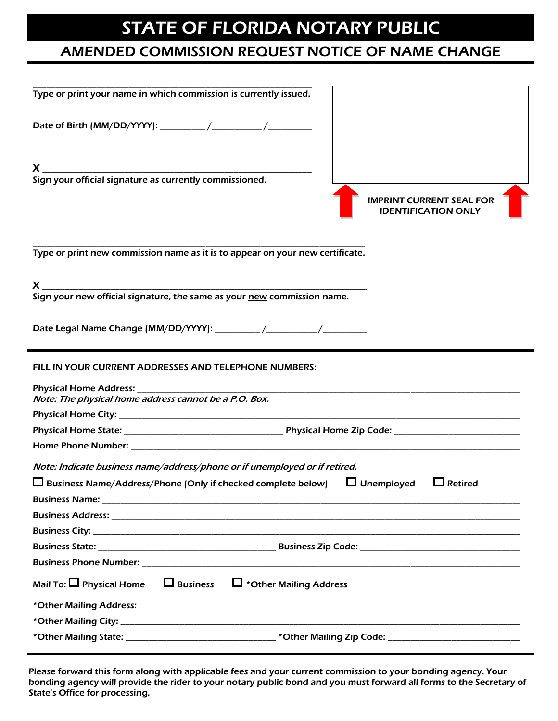# STATE OF FLORIDA NOTARY PUBLIC

## AMENDED COMMISSION REQUEST NOTICE OF NAME CHANGE

| Type or print your name in which commission is currently issued.                                                                                                                                                                     |  |  |
|--------------------------------------------------------------------------------------------------------------------------------------------------------------------------------------------------------------------------------------|--|--|
|                                                                                                                                                                                                                                      |  |  |
|                                                                                                                                                                                                                                      |  |  |
| Sign your official signature as currently commissioned.                                                                                                                                                                              |  |  |
| <b>IMPRINT CURRENT SEAL FOR</b><br><b>IDENTIFICATION ONLY</b>                                                                                                                                                                        |  |  |
| Type or print new commission name as it is to appear on your new certificate.                                                                                                                                                        |  |  |
| $\boldsymbol{X}$ and the contract of the contract of the contract of the contract of the contract of the contract of the contract of the contract of the contract of the contract of the contract of the contract of the contract of |  |  |
| Sign your new official signature, the same as your new commission name.                                                                                                                                                              |  |  |
|                                                                                                                                                                                                                                      |  |  |
|                                                                                                                                                                                                                                      |  |  |
| FILL IN YOUR CURRENT ADDRESSES AND TELEPHONE NUMBERS:                                                                                                                                                                                |  |  |
| Note: The physical home address cannot be a P.O. Box.                                                                                                                                                                                |  |  |
|                                                                                                                                                                                                                                      |  |  |
|                                                                                                                                                                                                                                      |  |  |
|                                                                                                                                                                                                                                      |  |  |
| Note: Indicate business name/address/phone or if unemployed or if retired.                                                                                                                                                           |  |  |
| $\Box$ Business Name/Address/Phone (Only if checked complete below) $\Box$ Unemployed $\Box$ Retired                                                                                                                                 |  |  |
|                                                                                                                                                                                                                                      |  |  |
|                                                                                                                                                                                                                                      |  |  |
|                                                                                                                                                                                                                                      |  |  |
|                                                                                                                                                                                                                                      |  |  |
|                                                                                                                                                                                                                                      |  |  |
| Mail To: $\square$ Physical Home $\square$ Business $\square$ *Other Mailing Address                                                                                                                                                 |  |  |
|                                                                                                                                                                                                                                      |  |  |
|                                                                                                                                                                                                                                      |  |  |
|                                                                                                                                                                                                                                      |  |  |

Please forward this form along with applicable fees and your current commission to your bonding agency. Your bonding agency will provide the rider to your notary public bond and you must forward all forms to the Secretary of State's Office for processing.